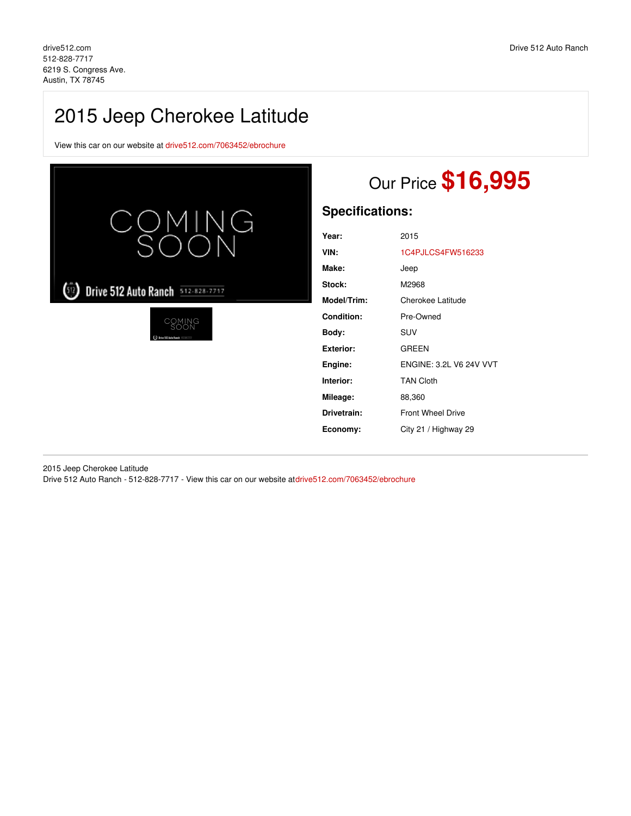## 2015 Jeep Cherokee Latitude

View this car on our website at [drive512.com/7063452/ebrochure](https://drive512.com/vehicle/7063452/2015-jeep-cherokee-latitude-austin-tx-78745/7063452/ebrochure)



## Our Price **\$16,995**

## **Specifications:**

| 2015                     |
|--------------------------|
| 1C4PJLCS4FW516233        |
| Jeep                     |
| M2968                    |
| Cherokee Latitude        |
| Pre-Owned                |
| SUV                      |
| <b>GREEN</b>             |
| FNGINE: 3.2L V6.24V VVT  |
| <b>TAN Cloth</b>         |
| 88,360                   |
| <b>Front Wheel Drive</b> |
| City 21 / Highway 29     |
|                          |

2015 Jeep Cherokee Latitude Drive 512 Auto Ranch - 512-828-7717 - View this car on our website a[tdrive512.com/7063452/ebrochure](https://drive512.com/vehicle/7063452/2015-jeep-cherokee-latitude-austin-tx-78745/7063452/ebrochure)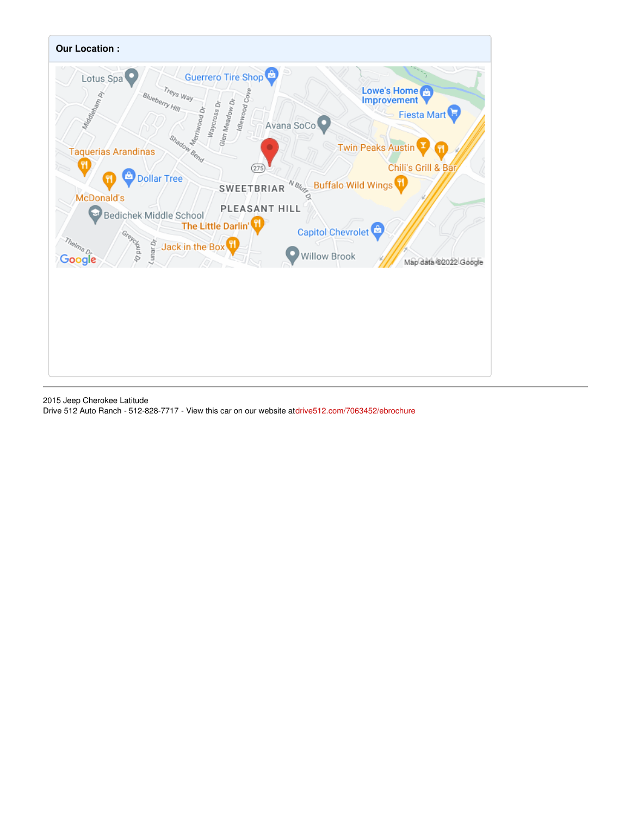

2015 Jeep Cherokee Latitude Drive 512 Auto Ranch - 512-828-7717 - View this car on our website a[tdrive512.com/7063452/ebrochure](https://drive512.com/vehicle/7063452/2015-jeep-cherokee-latitude-austin-tx-78745/7063452/ebrochure)